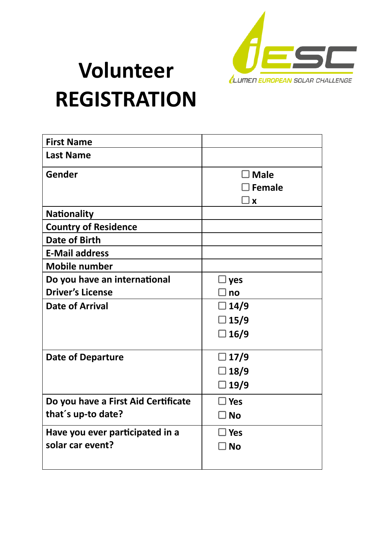

## **Volunteer REGISTRATION**

| <b>First Name</b>                   |                           |
|-------------------------------------|---------------------------|
| <b>Last Name</b>                    |                           |
| Gender                              | $\exists$ Male            |
|                                     | $\exists$ Female          |
|                                     | $\boldsymbol{\mathsf{x}}$ |
| <b>Nationality</b>                  |                           |
| <b>Country of Residence</b>         |                           |
| <b>Date of Birth</b>                |                           |
| <b>E-Mail address</b>               |                           |
| <b>Mobile number</b>                |                           |
| Do you have an international        | l yes                     |
| <b>Driver's License</b>             | no                        |
| <b>Date of Arrival</b>              | $\Box$ 14/9               |
|                                     | $\square$ 15/9            |
|                                     | $\Box$ 16/9               |
|                                     |                           |
| <b>Date of Departure</b>            | $\Box$ 17/9               |
|                                     | $\square$ 18/9            |
|                                     | $\Box$ 19/9               |
| Do you have a First Aid Certificate | $\square$ Yes             |
| that's up-to date?                  | $\exists$ No              |
| Have you ever participated in a     | $\exists$ Yes             |
| solar car event?                    | l No                      |
|                                     |                           |